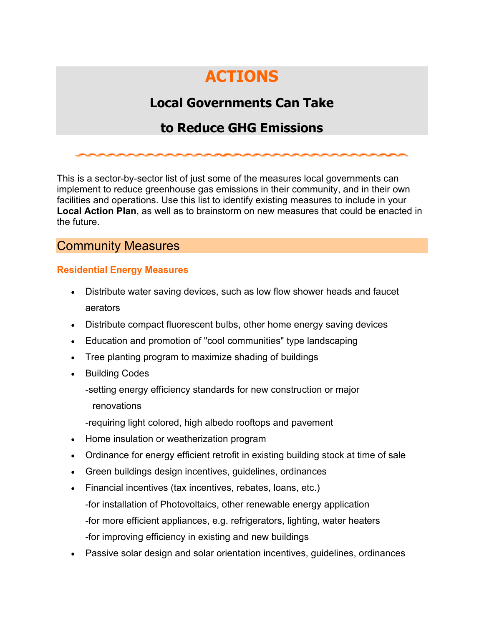# **ACTIONS**

# **Local Governments Can Take**

# **to Reduce GHG Emissions**

This is a sector-by-sector list of just some of the measures local governments can implement to reduce greenhouse gas emissions in their community, and in their own facilities and operations. Use this list to identify existing measures to include in your **Local Action Plan**, as well as to brainstorm on new measures that could be enacted in the future.

## Community Measures

#### **Residential Energy Measures**

- Distribute water saving devices, such as low flow shower heads and faucet aerators
- Distribute compact fluorescent bulbs, other home energy saving devices
- Education and promotion of "cool communities" type landscaping
- Tree planting program to maximize shading of buildings
- Building Codes
	- -setting energy efficiency standards for new construction or major renovations
	- -requiring light colored, high albedo rooftops and pavement
- Home insulation or weatherization program
- Ordinance for energy efficient retrofit in existing building stock at time of sale
- Green buildings design incentives, guidelines, ordinances
- Financial incentives (tax incentives, rebates, loans, etc.) -for installation of Photovoltaics, other renewable energy application -for more efficient appliances, e.g. refrigerators, lighting, water heaters -for improving efficiency in existing and new buildings
- Passive solar design and solar orientation incentives, guidelines, ordinances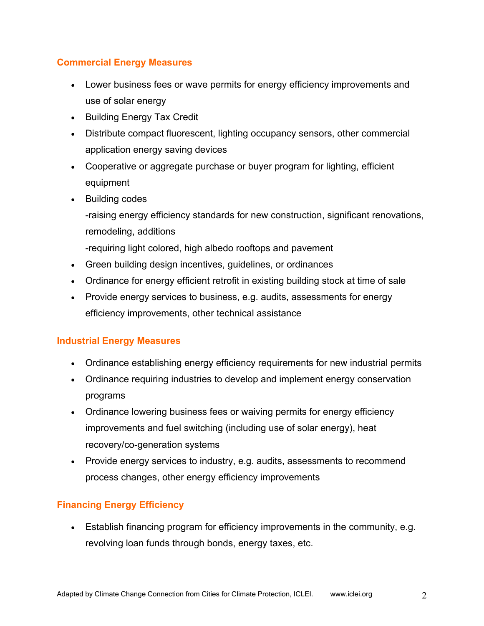#### **Commercial Energy Measures**

- Lower business fees or wave permits for energy efficiency improvements and use of solar energy
- Building Energy Tax Credit
- Distribute compact fluorescent, lighting occupancy sensors, other commercial application energy saving devices
- Cooperative or aggregate purchase or buyer program for lighting, efficient equipment
- Building codes

-raising energy efficiency standards for new construction, significant renovations, remodeling, additions

-requiring light colored, high albedo rooftops and pavement

- Green building design incentives, guidelines, or ordinances
- Ordinance for energy efficient retrofit in existing building stock at time of sale
- Provide energy services to business, e.g. audits, assessments for energy efficiency improvements, other technical assistance

#### **Industrial Energy Measures**

- Ordinance establishing energy efficiency requirements for new industrial permits
- Ordinance requiring industries to develop and implement energy conservation programs
- Ordinance lowering business fees or waiving permits for energy efficiency improvements and fuel switching (including use of solar energy), heat recovery/co-generation systems
- Provide energy services to industry, e.g. audits, assessments to recommend process changes, other energy efficiency improvements

#### **Financing Energy Efficiency**

• Establish financing program for efficiency improvements in the community, e.g. revolving loan funds through bonds, energy taxes, etc.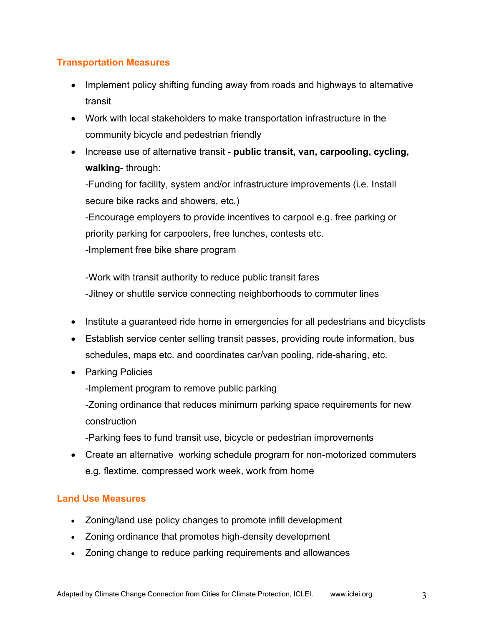#### **Transportation Measures**

- Implement policy shifting funding away from roads and highways to alternative transit
- Work with local stakeholders to make transportation infrastructure in the community bicycle and pedestrian friendly
- Increase use of alternative transit **public transit, van, carpooling, cycling, walking**- through:

-Funding for facility, system and/or infrastructure improvements (i.e. Install secure bike racks and showers, etc.)

-Encourage employers to provide incentives to carpool e.g. free parking or priority parking for carpoolers, free lunches, contests etc.

-Implement free bike share program

-Work with transit authority to reduce public transit fares -Jitney or shuttle service connecting neighborhoods to commuter lines

- Institute a guaranteed ride home in emergencies for all pedestrians and bicyclists
- Establish service center selling transit passes, providing route information, bus schedules, maps etc. and coordinates car/van pooling, ride-sharing, etc.
- Parking Policies

-Implement program to remove public parking

-Zoning ordinance that reduces minimum parking space requirements for new construction

-Parking fees to fund transit use, bicycle or pedestrian improvements

• Create an alternative working schedule program for non-motorized commuters e.g. flextime, compressed work week, work from home

### **Land Use Measures**

- Zoning/land use policy changes to promote infill development
- Zoning ordinance that promotes high-density development
- Zoning change to reduce parking requirements and allowances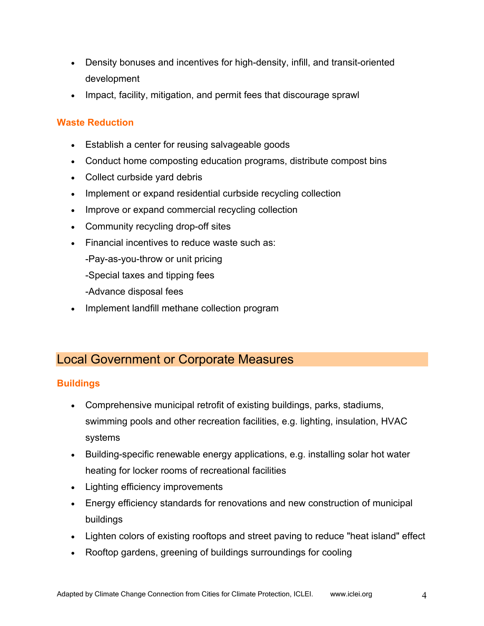- Density bonuses and incentives for high-density, infill, and transit-oriented development
- Impact, facility, mitigation, and permit fees that discourage sprawl

#### **Waste Reduction**

- Establish a center for reusing salvageable goods
- Conduct home composting education programs, distribute compost bins
- Collect curbside yard debris
- Implement or expand residential curbside recycling collection
- Improve or expand commercial recycling collection
- Community recycling drop-off sites
- Financial incentives to reduce waste such as:
	- -Pay-as-you-throw or unit pricing
	- -Special taxes and tipping fees
	- -Advance disposal fees
- Implement landfill methane collection program

# Local Government or Corporate Measures

### **Buildings**

- Comprehensive municipal retrofit of existing buildings, parks, stadiums, swimming pools and other recreation facilities, e.g. lighting, insulation, HVAC systems
- Building-specific renewable energy applications, e.g. installing solar hot water heating for locker rooms of recreational facilities
- Lighting efficiency improvements
- Energy efficiency standards for renovations and new construction of municipal buildings
- Lighten colors of existing rooftops and street paving to reduce "heat island" effect
- Rooftop gardens, greening of buildings surroundings for cooling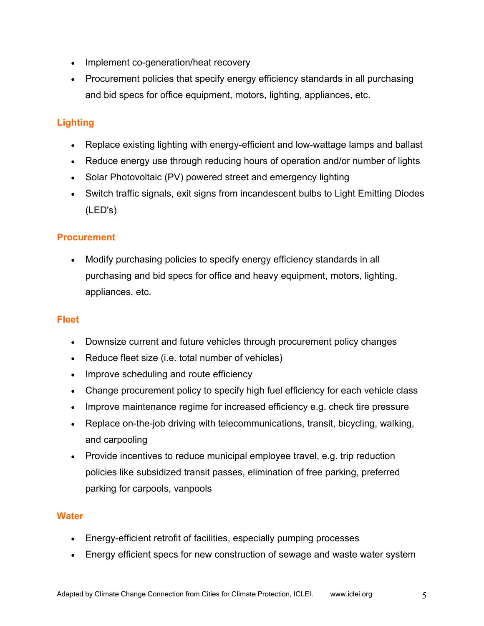- Implement co-generation/heat recovery
- Procurement policies that specify energy efficiency standards in all purchasing and bid specs for office equipment, motors, lighting, appliances, etc.

### **Lighting**

- Replace existing lighting with energy-efficient and low-wattage lamps and ballast
- Reduce energy use through reducing hours of operation and/or number of lights
- Solar Photovoltaic (PV) powered street and emergency lighting
- Switch traffic signals, exit signs from incandescent bulbs to Light Emitting Diodes (LED's)

#### **Procurement**

• Modify purchasing policies to specify energy efficiency standards in all purchasing and bid specs for office and heavy equipment, motors, lighting, appliances, etc.

#### **Fleet**

- Downsize current and future vehicles through procurement policy changes
- Reduce fleet size (i.e. total number of vehicles)
- Improve scheduling and route efficiency
- Change procurement policy to specify high fuel efficiency for each vehicle class
- Improve maintenance regime for increased efficiency e.g. check tire pressure
- Replace on-the-job driving with telecommunications, transit, bicycling, walking, and carpooling
- Provide incentives to reduce municipal employee travel, e.g. trip reduction policies like subsidized transit passes, elimination of free parking, preferred parking for carpools, vanpools

#### **Water**

- Energy-efficient retrofit of facilities, especially pumping processes
- Energy efficient specs for new construction of sewage and waste water system